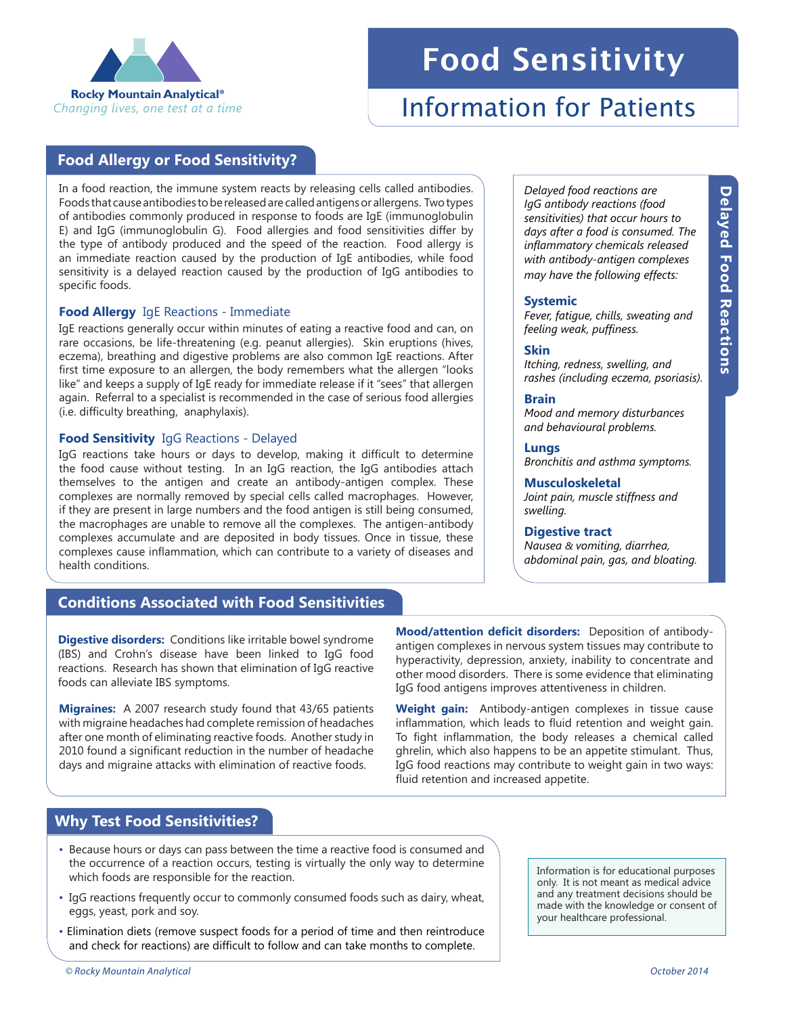

# Food Sensitivity

# Information for Patients

**Systemic**

**Skin**

**Brain**

**Lungs**

*swelling.* 

**Musculoskeletal**

**Digestive tract** 

*Delayed food reactions are IgG antibody reactions (food sensitivities) that occur hours to days after a food is consumed. The inflammatory chemicals released with antibody-antigen complexes may have the following effects:*

*Fever, fatigue, chills, sweating and* 

*Itching, redness, swelling, and rashes (including eczema, psoriasis).*

*Mood and memory disturbances and behavioural problems.*

*Bronchitis and asthma symptoms.*

*Joint pain, muscle stiffness and* 

*Nausea & vomiting, diarrhea, abdominal pain, gas, and bloating.* 

*feeling weak, puffiness.*

# **Food Allergy or Food Sensitivity?**

In a food reaction, the immune system reacts by releasing cells called antibodies. Foods that cause antibodies to be released are called antigens or allergens. Two types of antibodies commonly produced in response to foods are IgE (immunoglobulin E) and IgG (immunoglobulin G). Food allergies and food sensitivities differ by the type of antibody produced and the speed of the reaction. Food allergy is an immediate reaction caused by the production of IgE antibodies, while food sensitivity is a delayed reaction caused by the production of IgG antibodies to specific foods.

#### **Food Allergy** IgE Reactions - Immediate

IgE reactions generally occur within minutes of eating a reactive food and can, on rare occasions, be life-threatening (e.g. peanut allergies). Skin eruptions (hives, eczema), breathing and digestive problems are also common IgE reactions. After first time exposure to an allergen, the body remembers what the allergen "looks like" and keeps a supply of IgE ready for immediate release if it "sees" that allergen again. Referral to a specialist is recommended in the case of serious food allergies (i.e. difficulty breathing, anaphylaxis).

#### **Food Sensitivity** IgG Reactions - Delayed

IgG reactions take hours or days to develop, making it difficult to determine the food cause without testing. In an IgG reaction, the IgG antibodies attach themselves to the antigen and create an antibody-antigen complex. These complexes are normally removed by special cells called macrophages. However, if they are present in large numbers and the food antigen is still being consumed, the macrophages are unable to remove all the complexes. The antigen-antibody complexes accumulate and are deposited in body tissues. Once in tissue, these complexes cause inflammation, which can contribute to a variety of diseases and health conditions.

# **Conditions Associated with Food Sensitivities**

**Digestive disorders:** Conditions like irritable bowel syndrome (IBS) and Crohn's disease have been linked to IgG food reactions. Research has shown that elimination of IgG reactive foods can alleviate IBS symptoms.

**Migraines:** A 2007 research study found that 43/65 patients with migraine headaches had complete remission of headaches after one month of eliminating reactive foods. Another study in 2010 found a significant reduction in the number of headache days and migraine attacks with elimination of reactive foods.

**Mood/attention deficit disorders:** Deposition of antibodyantigen complexes in nervous system tissues may contribute to hyperactivity, depression, anxiety, inability to concentrate and other mood disorders. There is some evidence that eliminating IgG food antigens improves attentiveness in children.

**Weight gain:** Antibody-antigen complexes in tissue cause inflammation, which leads to fluid retention and weight gain. To fight inflammation, the body releases a chemical called ghrelin, which also happens to be an appetite stimulant. Thus, IgG food reactions may contribute to weight gain in two ways: fluid retention and increased appetite.

# **Why Test Food Sensitivities?**

- Because hours or days can pass between the time a reactive food is consumed and the occurrence of a reaction occurs, testing is virtually the only way to determine which foods are responsible for the reaction.
- IgG reactions frequently occur to commonly consumed foods such as dairy, wheat, eggs, yeast, pork and soy.
- Elimination diets (remove suspect foods for a period of time and then reintroduce and check for reactions) are difficult to follow and can take months to complete.

Information is for educational purposes only. It is not meant as medical advice and any treatment decisions should be made with the knowledge or consent of your healthcare professional.